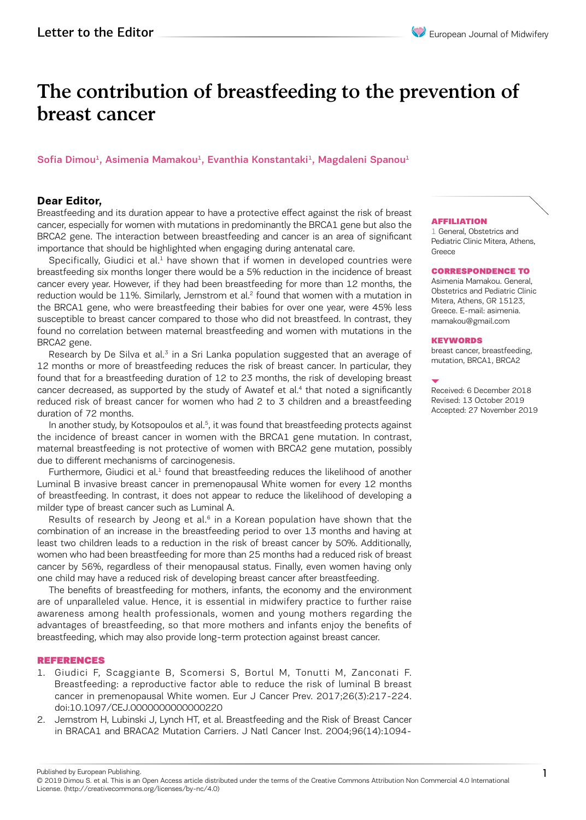# The contribution of breastfeeding to the prevention of breast cancer

# Sofia Dimou<sup>1</sup>, Asimenia Mamakou<sup>1</sup>, Evanthia Konstantaki<sup>1</sup>, Magdaleni Spanou<sup>1</sup>

## **Dear Editor,**

Breastfeeding and its duration appear to have a protective effect against the risk of breast cancer, especially for women with mutations in predominantly the BRCA1 gene but also the BRCA2 gene. The interaction between breastfeeding and cancer is an area of significant importance that should be highlighted when engaging during antenatal care.

Specifically, Giudici et al. $<sup>1</sup>$  have shown that if women in developed countries were</sup> breastfeeding six months longer there would be a 5% reduction in the incidence of breast cancer every year. However, if they had been breastfeeding for more than 12 months, the reduction would be  $11\%$ . Similarly, Jernstrom et al.<sup>2</sup> found that women with a mutation in the BRCA1 gene, who were breastfeeding their babies for over one year, were 45% less susceptible to breast cancer compared to those who did not breastfeed. In contrast, they found no correlation between maternal breastfeeding and women with mutations in the BRCA2 gene.

Research by De Silva et al. $3$  in a Sri Lanka population suggested that an average of 12 months or more of breastfeeding reduces the risk of breast cancer. In particular, they found that for a breastfeeding duration of 12 to 23 months, the risk of developing breast cancer decreased, as supported by the study of Awatef et al.<sup>4</sup> that noted a significantly reduced risk of breast cancer for women who had 2 to 3 children and a breastfeeding duration of 72 months.

In another study, by Kotsopoulos et al.<sup>5</sup>, it was found that breastfeeding protects against the incidence of breast cancer in women with the BRCA1 gene mutation. In contrast, maternal breastfeeding is not protective of women with BRCA2 gene mutation, possibly due to different mechanisms of carcinogenesis.

Furthermore, Giudici et al. $<sup>1</sup>$  found that breastfeeding reduces the likelihood of another</sup> Luminal B invasive breast cancer in premenopausal White women for every 12 months of breastfeeding. In contrast, it does not appear to reduce the likelihood of developing a milder type of breast cancer such as Luminal A.

Results of research by Jeong et al. $6$  in a Korean population have shown that the combination of an increase in the breastfeeding period to over 13 months and having at least two children leads to a reduction in the risk of breast cancer by 50%. Additionally, women who had been breastfeeding for more than 25 months had a reduced risk of breast cancer by 56%, regardless of their menopausal status. Finally, even women having only one child may have a reduced risk of developing breast cancer after breastfeeding.

The benefits of breastfeeding for mothers, infants, the economy and the environment are of unparalleled value. Hence, it is essential in midwifery practice to further raise awareness among health professionals, women and young mothers regarding the advantages of breastfeeding, so that more mothers and infants enjoy the benefits of breastfeeding, which may also provide long-term protection against breast cancer.

#### REFERENCES

- 1. Giudici F, Scaggiante B, Scomersi S, Bortul M, Tonutti M, Zanconati F. Breastfeeding: a reproductive factor able to reduce the risk of luminal B breast cancer in premenopausal White women. Eur J Cancer Prev. 2017;26(3):217-224. doi:10.1097/CEJ.0000000000000220
- 2. Jernstrom H, Lubinski J, Lynch HT, et al. Breastfeeding and the Risk of Breast Cancer in BRACA1 and BRACA2 Mutation Carriers. J Natl Cancer Inst. 2004;96(14):1094-

#### AFFILIATION

1 General, Obstetrics and Pediatric Clinic Mitera, Athens, Greece

#### CORRESPONDENCE TO

Asimenia Mamakou. General, Obstetrics and Pediatric Clinic Mitera, Athens, GR 15123, Greece. E-mail: asimenia. mamakou@gmail.com

#### **KEYWORDS**

breast cancer, breastfeeding, mutation, BRCA1, BRCA2

Received: 6 December 2018 Revised: 13 October 2019 Accepted: 27 November 2019

```
Published by European Publishing.
```